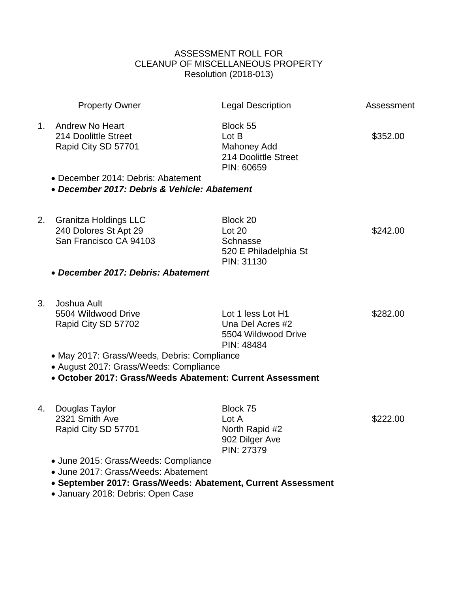## ASSESSMENT ROLL FOR CLEANUP OF MISCELLANEOUS PROPERTY Resolution (2018-013)

|                | <b>Property Owner</b>                                                                                                                                                            | <b>Legal Description</b>                                                   | Assessment |
|----------------|----------------------------------------------------------------------------------------------------------------------------------------------------------------------------------|----------------------------------------------------------------------------|------------|
| 1.             | <b>Andrew No Heart</b><br>214 Doolittle Street<br>Rapid City SD 57701                                                                                                            | Block 55<br>Lot B<br>Mahoney Add<br>214 Doolittle Street<br>PIN: 60659     | \$352.00   |
|                | • December 2014: Debris: Abatement<br>• December 2017: Debris & Vehicle: Abatement                                                                                               |                                                                            |            |
| 2.             | <b>Granitza Holdings LLC</b><br>240 Dolores St Apt 29<br>San Francisco CA 94103                                                                                                  | Block 20<br>Lot 20<br>Schnasse<br>520 E Philadelphia St<br>PIN: 31130      | \$242.00   |
|                | • December 2017: Debris: Abatement                                                                                                                                               |                                                                            |            |
| 3 <sub>1</sub> | Joshua Ault<br>5504 Wildwood Drive<br>Rapid City SD 57702                                                                                                                        | Lot 1 less Lot H1<br>Una Del Acres #2<br>5504 Wildwood Drive<br>PIN: 48484 | \$282.00   |
|                | • May 2017: Grass/Weeds, Debris: Compliance<br>• August 2017: Grass/Weeds: Compliance<br>• October 2017: Grass/Weeds Abatement: Current Assessment                               |                                                                            |            |
| 4.             | Douglas Taylor<br>2321 Smith Ave<br>Rapid City SD 57701                                                                                                                          | Block 75<br>Lot A<br>North Rapid #2<br>902 Dilger Ave<br>PIN: 27379        | \$222.00   |
|                | • June 2015: Grass/Weeds: Compliance<br>• June 2017: Grass/Weeds: Abatement<br>• September 2017: Grass/Weeds: Abatement, Current Assessment<br>• January 2018: Debris: Open Case |                                                                            |            |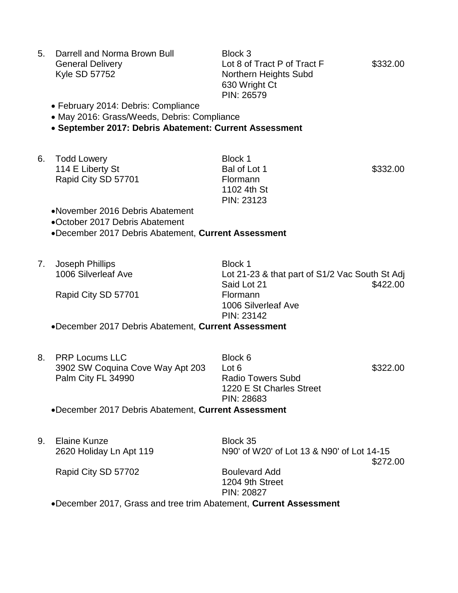|  | 5. Darrell and Norma Brown Bull | Block 3                     |          |
|--|---------------------------------|-----------------------------|----------|
|  | <b>General Delivery</b>         | Lot 8 of Tract P of Tract F | \$332.00 |
|  | Kyle SD 57752                   | Northern Heights Subd       |          |
|  |                                 | 630 Wright Ct               |          |
|  |                                 | PIN: 26579                  |          |

- February 2014: Debris: Compliance
- May 2016: Grass/Weeds, Debris: Compliance

## **September 2017: Debris Abatement: Current Assessment**

6. Todd Lowery Block 1 114 E Liberty St **Bal of Lot 1 \$332.00** Rapid City SD 57701 Flormann

1102 4th St PIN: 23123

November 2016 Debris Abatement

October 2017 Debris Abatement

December 2017 Debris Abatement, **Current Assessment**

7. Joseph Phillips **Block 1** 

Rapid City SD 57701 Flormann

1006 Silverleaf Ave Lot 21-23 & that part of S1/2 Vac South St Adj Said Lot 21 \$422.00 1006 Silverleaf Ave PIN: 23142

December 2017 Debris Abatement, **Current Assessment**

|  | 8. PRP Locums LLC                                   | Block 6                  |          |
|--|-----------------------------------------------------|--------------------------|----------|
|  | 3902 SW Coquina Cove Way Apt 203                    | Lot 6                    | \$322.00 |
|  | Palm City FL 34990                                  | <b>Radio Towers Subd</b> |          |
|  |                                                     | 1220 E St Charles Street |          |
|  |                                                     | PIN: 28683               |          |
|  | aDooombor 2017 Dobrig Abotomont Currant Accordement |                          |          |

December 2017 Debris Abatement, **Current Assessment**

9. Elaine Kunze Block 35

2620 Holiday Ln Apt 119 N90' of W20' of Lot 13 & N90' of Lot 14-15 \$272.00

Rapid City SD 57702 Boulevard Add

1204 9th Street PIN: 20827

December 2017, Grass and tree trim Abatement, **Current Assessment**